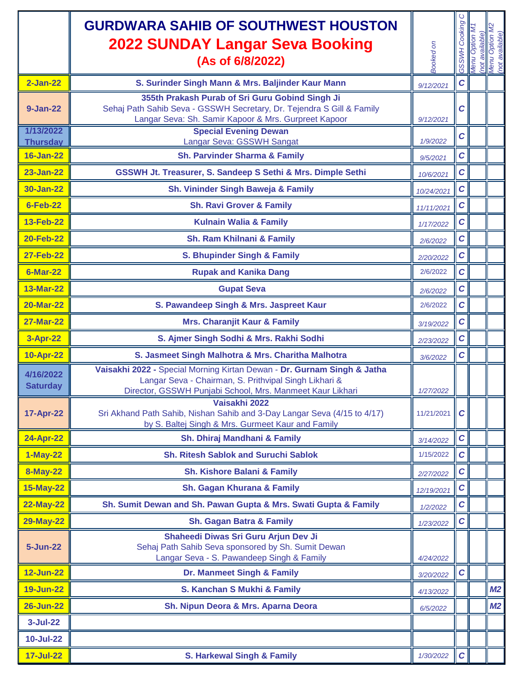|                              | <b>GURDWARA SAHIB OF SOUTHWEST HOUSTON</b><br><b>2022 SUNDAY Langar Seva Booking</b><br>(As of 6/8/2022)                                                                                                       | Booked on  | ပ<br>Cooking<br><b>GSSWH</b> | Menu | (not available)<br>Menu Option M<br>(not available) |
|------------------------------|----------------------------------------------------------------------------------------------------------------------------------------------------------------------------------------------------------------|------------|------------------------------|------|-----------------------------------------------------|
| $2$ -Jan-22                  | S. Surinder Singh Mann & Mrs. Baljinder Kaur Mann                                                                                                                                                              | 9/12/2021  | $\mathbf c$                  |      |                                                     |
| 9-Jan-22                     | 355th Prakash Purab of Sri Guru Gobind Singh Ji<br>Sehaj Path Sahib Seva - GSSWH Secretary, Dr. Tejendra S Gill & Family<br>Langar Seva: Sh. Samir Kapoor & Mrs. Gurpreet Kapoor                               | 9/12/2021  | C                            |      |                                                     |
| 1/13/2022<br><b>Thursday</b> | <b>Special Evening Dewan</b><br>Langar Seva: GSSWH Sangat                                                                                                                                                      | 1/9/2022   | C                            |      |                                                     |
| <b>16-Jan-22</b>             | <b>Sh. Parvinder Sharma &amp; Family</b>                                                                                                                                                                       | 9/5/2021   | $\mathbf c$                  |      |                                                     |
| <b>23-Jan-22</b>             | GSSWH Jt. Treasurer, S. Sandeep S Sethi & Mrs. Dimple Sethi                                                                                                                                                    | 10/6/2021  | $\mathbf C$                  |      |                                                     |
| 30-Jan-22                    | Sh. Vininder Singh Baweja & Family                                                                                                                                                                             | 10/24/2021 | $\mathbf C$                  |      |                                                     |
| <b>6-Feb-22</b>              | <b>Sh. Ravi Grover &amp; Family</b>                                                                                                                                                                            | 11/11/2021 | $\mathcal C$                 |      |                                                     |
| <b>13-Feb-22</b>             | <b>Kulnain Walia &amp; Family</b>                                                                                                                                                                              | 1/17/2022  | $\mathbf C$                  |      |                                                     |
| <b>20-Feb-22</b>             | Sh. Ram Khilnani & Family                                                                                                                                                                                      | 2/6/2022   | $\mathbf C$                  |      |                                                     |
| <b>27-Feb-22</b>             | S. Bhupinder Singh & Family                                                                                                                                                                                    | 2/20/2022  | $\mathcal{C}$                |      |                                                     |
| <b>6-Mar-22</b>              | <b>Rupak and Kanika Dang</b>                                                                                                                                                                                   | 2/6/2022   | $\mathbf c$                  |      |                                                     |
| <b>13-Mar-22</b>             | <b>Gupat Seva</b>                                                                                                                                                                                              | 2/6/2022   | $\mathbf c$                  |      |                                                     |
| <b>20-Mar-22</b>             | S. Pawandeep Singh & Mrs. Jaspreet Kaur                                                                                                                                                                        | 2/6/2022   | $\mathbf c$                  |      |                                                     |
| <b>27-Mar-22</b>             | <b>Mrs. Charanjit Kaur &amp; Family</b>                                                                                                                                                                        | 3/19/2022  | $\mathbf c$                  |      |                                                     |
| 3-Apr-22                     | S. Ajmer Singh Sodhi & Mrs. Rakhi Sodhi                                                                                                                                                                        | 2/23/2022  | $\mathbf c$                  |      |                                                     |
| <b>10-Apr-22</b>             | S. Jasmeet Singh Malhotra & Mrs. Charitha Malhotra                                                                                                                                                             | 3/6/2022   | $\mathbf C$                  |      |                                                     |
| 4/16/2022<br><b>Saturday</b> | Vaisakhi 2022 - Special Morning Kirtan Dewan - Dr. Gurnam Singh & Jatha<br>Langar Seva - Chairman, S. Prithvipal Singh Likhari &<br>Director, GSSWH Punjabi School, Mrs. Manmeet Kaur Likhari<br>Vaisakhi 2022 | 1/27/2022  |                              |      |                                                     |
| <b>17-Apr-22</b>             | Sri Akhand Path Sahib, Nishan Sahib and 3-Day Langar Seva (4/15 to 4/17)<br>by S. Baltej Singh & Mrs. Gurmeet Kaur and Family                                                                                  | 11/21/2021 | C                            |      |                                                     |
| <b>24-Apr-22</b>             | Sh. Dhiraj Mandhani & Family                                                                                                                                                                                   | 3/14/2022  | $\mathbf c$                  |      |                                                     |
| <b>1-May-22</b>              | <b>Sh. Ritesh Sablok and Suruchi Sablok</b>                                                                                                                                                                    | 1/15/2022  | $\mathbf C$                  |      |                                                     |
| <b>8-May-22</b>              | <b>Sh. Kishore Balani &amp; Family</b>                                                                                                                                                                         | 2/27/2022  | $\mathbf c$                  |      |                                                     |
| <b>15-May-22</b>             | Sh. Gagan Khurana & Family                                                                                                                                                                                     | 12/19/2021 | $\pmb{C}$                    |      |                                                     |
| <b>22-May-22</b>             | Sh. Sumit Dewan and Sh. Pawan Gupta & Mrs. Swati Gupta & Family                                                                                                                                                | 1/2/2022   | $\mathbf c$                  |      |                                                     |
| <b>29-May-22</b>             | Sh. Gagan Batra & Family                                                                                                                                                                                       | 1/23/2022  | $\mathbf C$                  |      |                                                     |
| 5-Jun-22                     | Shaheedi Diwas Sri Guru Arjun Dev Ji<br>Sehaj Path Sahib Seva sponsored by Sh. Sumit Dewan<br>Langar Seva - S. Pawandeep Singh & Family                                                                        | 4/24/2022  |                              |      |                                                     |
| <b>12-Jun-22</b>             | Dr. Manmeet Singh & Family                                                                                                                                                                                     | 3/20/2022  | $\mathbf c$                  |      |                                                     |
| <b>19-Jun-22</b>             | S. Kanchan S Mukhi & Family                                                                                                                                                                                    | 4/13/2022  |                              |      | M <sub>2</sub>                                      |
| <b>26-Jun-22</b>             | Sh. Nipun Deora & Mrs. Aparna Deora                                                                                                                                                                            | 6/5/2022   |                              |      | M <sub>2</sub>                                      |
| $3 - Jul - 22$               |                                                                                                                                                                                                                |            |                              |      |                                                     |
| <b>10-Jul-22</b>             |                                                                                                                                                                                                                |            |                              |      |                                                     |
| <b>17-Jul-22</b>             | <b>S. Harkewal Singh &amp; Family</b>                                                                                                                                                                          | 1/30/2022  | $\mathbf c$                  |      |                                                     |